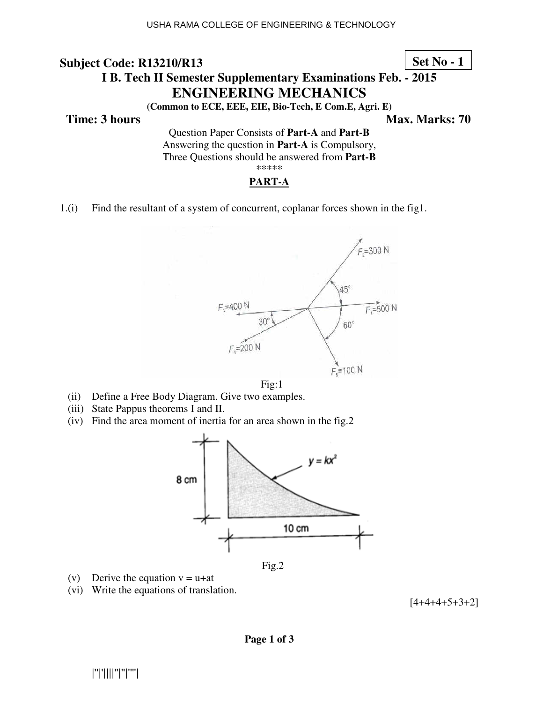### **Set No - 1**

# **I B. Tech II Semester Supplementary Examinations Feb. - 2015 ENGINEERING MECHANICS**

**(Common to ECE, EEE, EIE, Bio-Tech, E Com.E, Agri. E)** 

**Time: 3 hours** Max. Marks: 70

Question Paper Consists of **Part-A** and **Part-B** Answering the question in **Part-A** is Compulsory, Three Questions should be answered from **Part-B** \*\*\*\*\*

#### **PART-A**

1.(i) Find the resultant of a system of concurrent, coplanar forces shown in the fig1.





- (ii) Define a Free Body Diagram. Give two examples.
- (iii) State Pappus theorems I and II.
- (iv) Find the area moment of inertia for an area shown in the fig.2



Fig.2

- (v) Derive the equation  $v = u + at$
- (vi) Write the equations of translation.

 $[4+4+4+5+3+2]$ 

|''|'||||''|''|''''|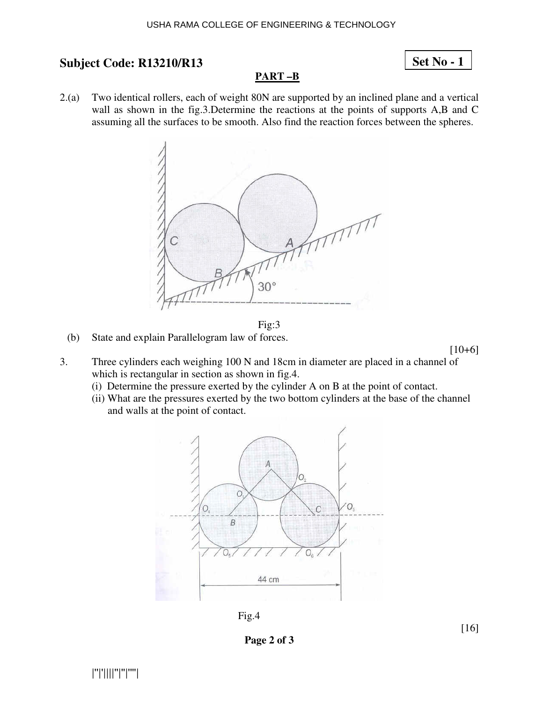#### USHA RAMA COLLEGE OF ENGINEERING & TECHNOLOGY

### **Subject Code: R13210/R13**

## **Set No - 1**

#### **PART –B**

2.(a) Two identical rollers, each of weight 80N are supported by an inclined plane and a vertical wall as shown in the fig.3.Determine the reactions at the points of supports A,B and C assuming all the surfaces to be smooth. Also find the reaction forces between the spheres.





(b) State and explain Parallelogram law of forces.

 $[10+6]$ 

- 3. Three cylinders each weighing 100 N and 18cm in diameter are placed in a channel of which is rectangular in section as shown in fig.4.
	- (i) Determine the pressure exerted by the cylinder A on B at the point of contact.
	- (ii) What are the pressures exerted by the two bottom cylinders at the base of the channel and walls at the point of contact.



Fig.4

**Page 2 of 3**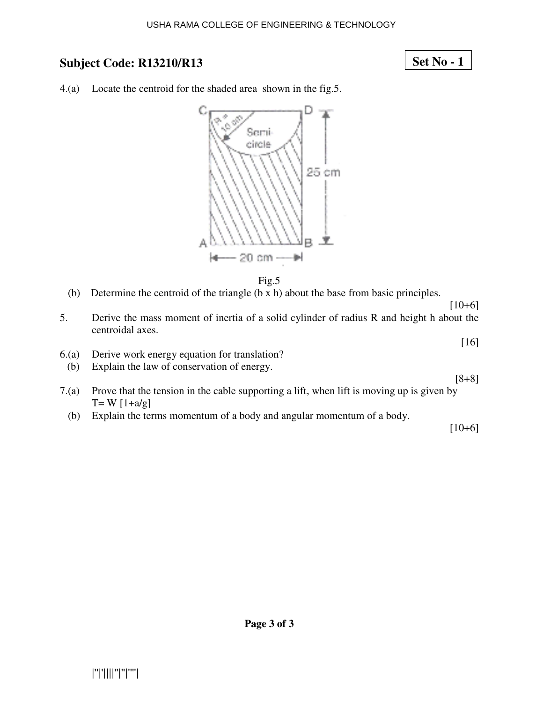## **Set No - 1**

4.(a) Locate the centroid for the shaded area shown in the fig.5.





- (b) Determine the centroid of the triangle (b x h) about the base from basic principles.
- $[10+6]$ 5. Derive the mass moment of inertia of a solid cylinder of radius R and height h about the centroidal axes.
- 6.(a) Derive work energy equation for translation?
- (b) Explain the law of conservation of energy.
- 7.(a) Prove that the tension in the cable supporting a lift, when lift is moving up is given by  $T = W [1+a/g]$ 
	- (b) Explain the terms momentum of a body and angular momentum of a body.

[10+6]

[16]

[8+8]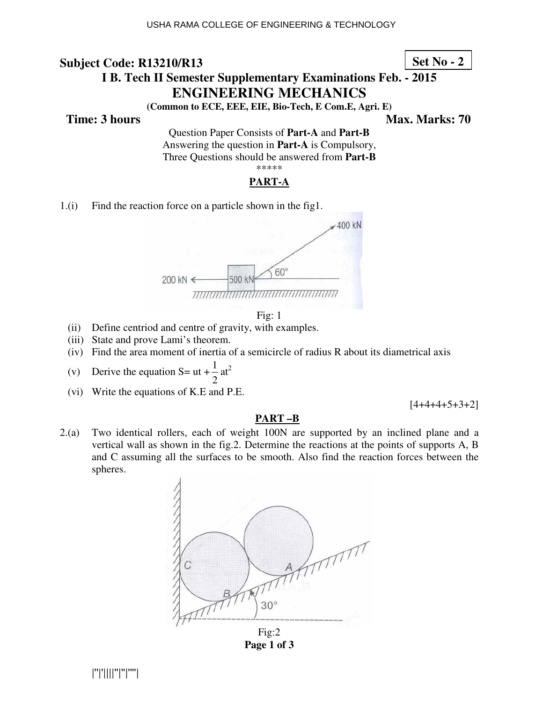#### **Set No - 2**

# **I B. Tech II Semester Supplementary Examinations Feb. - 2015 ENGINEERING MECHANICS**

**(Common to ECE, EEE, EIE, Bio-Tech, E Com.E, Agri. E)** 

**Time: 3 hours** Max. Marks: 70

Question Paper Consists of **Part-A** and **Part-B** Answering the question in **Part-A** is Compulsory, Three Questions should be answered from **Part-B** \*\*\*\*\*

#### **PART-A**

1.(i) Find the reaction force on a particle shown in the fig1.





- (ii) Define centriod and centre of gravity, with examples.
- (iii) State and prove Lami's theorem.
- (iv) Find the area moment of inertia of a semicircle of radius R about its diametrical axis
- (v) Derive the equation  $S=$  ut + 2  $\frac{1}{2}$  at<sup>2</sup>
	- (vi) Write the equations of K.E and P.E.

 $[4+4+4+5+3+2]$ 

#### **PART –B**

2.(a) Two identical rollers, each of weight 100N are supported by an inclined plane and a vertical wall as shown in the fig.2. Determine the reactions at the points of supports A, B and C assuming all the surfaces to be smooth. Also find the reaction forces between the spheres.



**Page 1 of 3**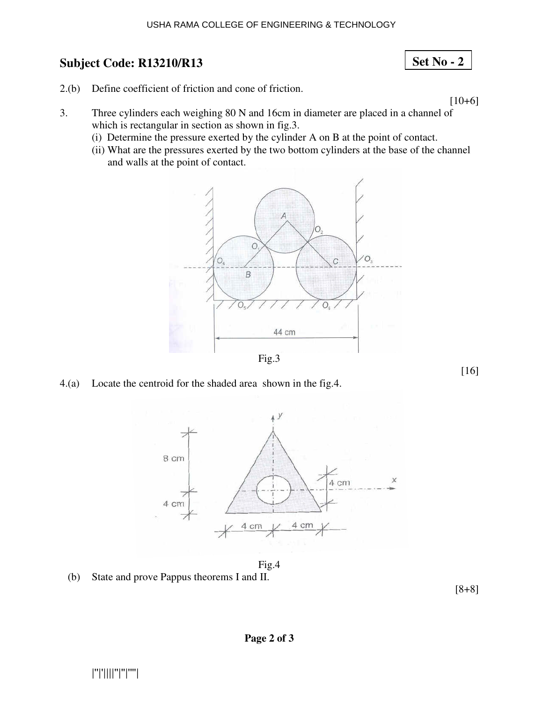#### USHA RAMA COLLEGE OF ENGINEERING & TECHNOLOGY

## **Subject Code: R13210/R13**

- 2.(b) Define coefficient of friction and cone of friction.
- 3. Three cylinders each weighing 80 N and 16cm in diameter are placed in a channel of which is rectangular in section as shown in fig.3.
	- (i) Determine the pressure exerted by the cylinder A on B at the point of contact.
	- (ii) What are the pressures exerted by the two bottom cylinders at the base of the channel and walls at the point of contact.



4.(a) Locate the centroid for the shaded area shown in the fig.4.



Fig.4

(b) State and prove Pappus theorems I and II.

[8+8]

 $[10+6]$ 

**Set No - 2**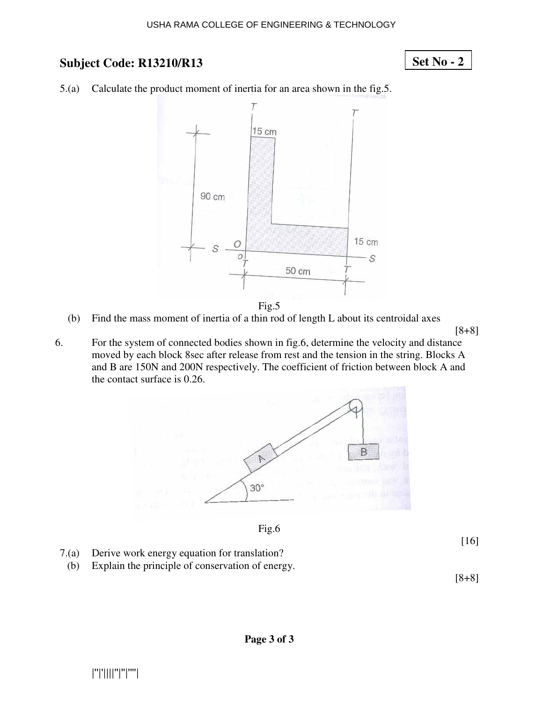## **Set No - 2**

5.(a) Calculate the product moment of inertia for an area shown in the fig.5.



Fig.5

(b) Find the mass moment of inertia of a thin rod of length L about its centroidal axes

[8+8]

6. For the system of connected bodies shown in fig.6, determine the velocity and distance moved by each block 8sec after release from rest and the tension in the string. Blocks A and B are 150N and 200N respectively. The coefficient of friction between block A and the contact surface is 0.26.





[16]

- 7.(a) Derive work energy equation for translation?
- (b) Explain the principle of conservation of energy.

[8+8]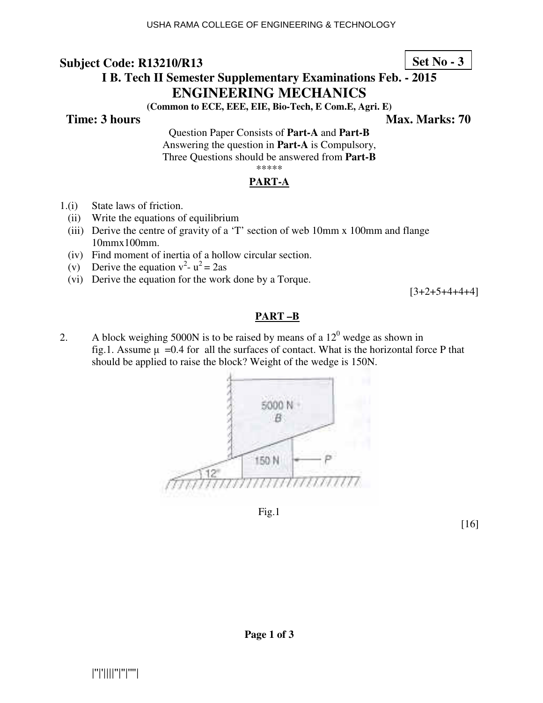## **Set No - 3**

# **I B. Tech II Semester Supplementary Examinations Feb. - 2015 ENGINEERING MECHANICS**

**(Common to ECE, EEE, EIE, Bio-Tech, E Com.E, Agri. E)** 

**Time: 3 hours** Max. Marks: 70

Question Paper Consists of **Part-A** and **Part-B** Answering the question in **Part-A** is Compulsory, Three Questions should be answered from **Part-B**

# \*\*\*\*\*

### **PART-A**

- 1.(i) State laws of friction.
	- (ii) Write the equations of equilibrium
	- (iii) Derive the centre of gravity of a 'T' section of web 10mm x 100mm and flange 10mmx100mm.
	- (iv) Find moment of inertia of a hollow circular section.
- (v) Derive the equation  $v^2 u^2 = 2as$ 
	- (vi) Derive the equation for the work done by a Torque.

 $[3+2+5+4+4+4]$ 

#### **PART –B**

2. A block weighing 5000N is to be raised by means of a  $12<sup>0</sup>$  wedge as shown in fig.1. Assume  $\mu =0.4$  for all the surfaces of contact. What is the horizontal force P that should be applied to raise the block? Weight of the wedge is 150N.



Fig.1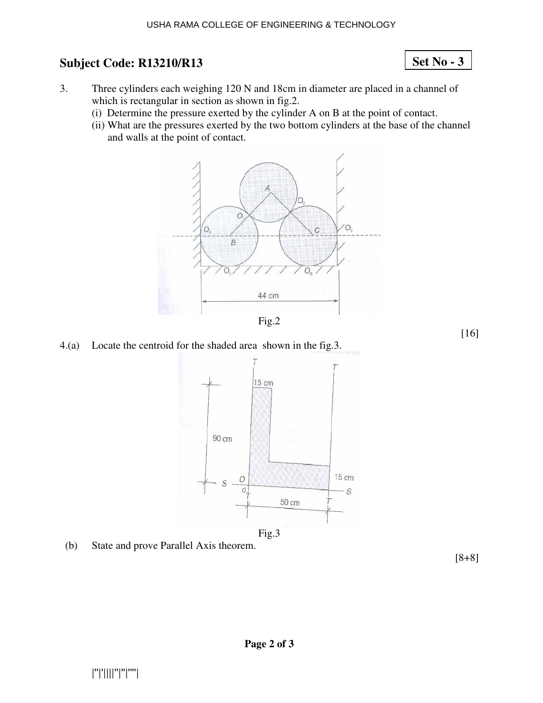**Set No - 3**

- 3. Three cylinders each weighing 120 N and 18cm in diameter are placed in a channel of which is rectangular in section as shown in fig.2.
	- (i) Determine the pressure exerted by the cylinder A on B at the point of contact.
	- (ii) What are the pressures exerted by the two bottom cylinders at the base of the channel and walls at the point of contact.





4.(a) Locate the centroid for the shaded area shown in the fig.3.



(b) State and prove Parallel Axis theorem.

[8+8]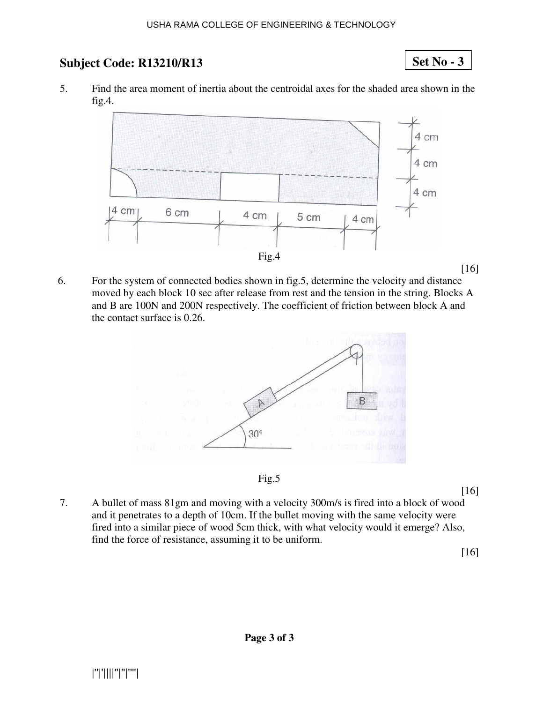**Set No - 3**

5. Find the area moment of inertia about the centroidal axes for the shaded area shown in the fig.4.



6. For the system of connected bodies shown in fig.5, determine the velocity and distance moved by each block 10 sec after release from rest and the tension in the string. Blocks A and B are 100N and 200N respectively. The coefficient of friction between block A and the contact surface is 0.26.





[16]

7. A bullet of mass 81gm and moving with a velocity 300m/s is fired into a block of wood and it penetrates to a depth of 10cm. If the bullet moving with the same velocity were fired into a similar piece of wood 5cm thick, with what velocity would it emerge? Also, find the force of resistance, assuming it to be uniform.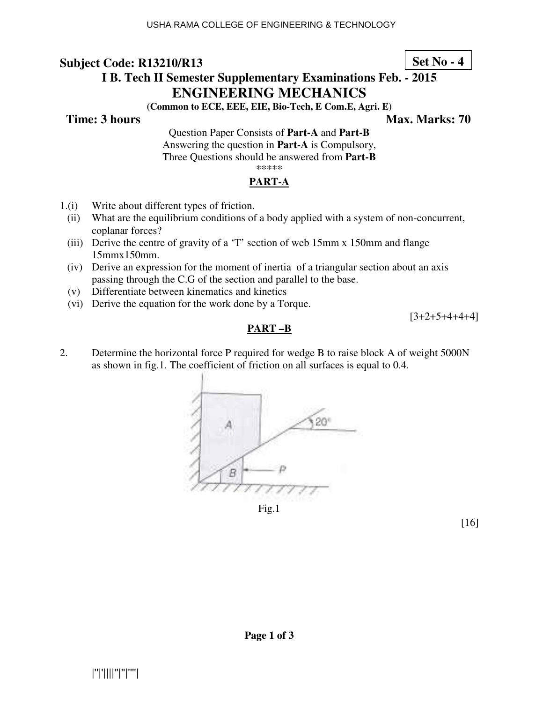# **I B. Tech II Semester Supplementary Examinations Feb. - 2015 ENGINEERING MECHANICS**

**(Common to ECE, EEE, EIE, Bio-Tech, E Com.E, Agri. E)** 

**Time: 3 hours** Max. Marks: 70

Question Paper Consists of **Part-A** and **Part-B** Answering the question in **Part-A** is Compulsory, Three Questions should be answered from **Part-B** \*\*\*\*\*

## **PART-A**

- 1.(i) Write about different types of friction.
	- (ii) What are the equilibrium conditions of a body applied with a system of non-concurrent, coplanar forces?
	- (iii) Derive the centre of gravity of a 'T' section of web 15mm x 150mm and flange 15mmx150mm.
	- (iv) Derive an expression for the moment of inertia of a triangular section about an axis passing through the C.G of the section and parallel to the base.
	- (v) Differentiate between kinematics and kinetics
	- (vi) Derive the equation for the work done by a Torque.

 $[3+2+5+4+4+4]$ 

### **PART –B**

2. Determine the horizontal force P required for wedge B to raise block A of weight 5000N as shown in fig.1. The coefficient of friction on all surfaces is equal to 0.4.



Fig.1

[16]

**Set No - 4**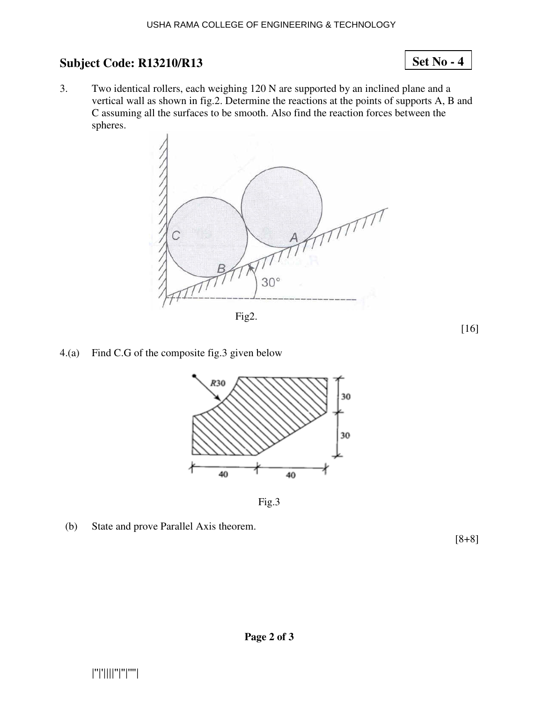#### 3. Two identical rollers, each weighing 120 N are supported by an inclined plane and a vertical wall as shown in fig.2. Determine the reactions at the points of supports A, B and C assuming all the surfaces to be smooth. Also find the reaction forces between the spheres.



Fig2.

[16]

**Set No - 4**

4.(a) Find C.G of the composite fig.3 given below



Fig.3

(b) State and prove Parallel Axis theorem.

[8+8]